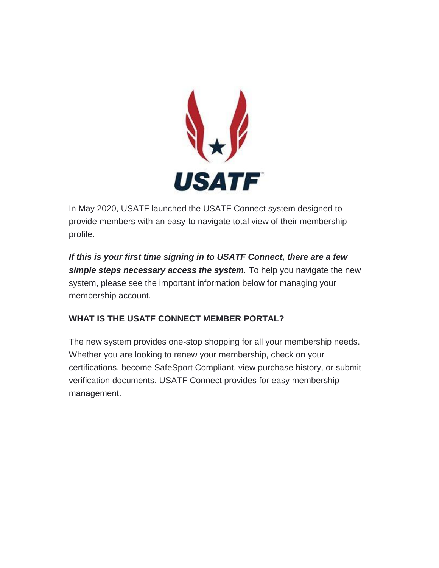

In May 2020, USATF launched the USATF Connect system designed to provide members with an easy-to navigate total view of their membership profile.

*If this is your first time signing in to USATF Connect, there are a few simple steps necessary access the system.* To help you navigate the new system, please see the important information below for managing your membership account.

## **WHAT IS THE USATF CONNECT MEMBER PORTAL?**

The new system provides one-stop shopping for all your membership needs. Whether you are looking to renew your membership, check on your certifications, become SafeSport Compliant, view purchase history, or submit verification documents, USATF Connect provides for easy membership management.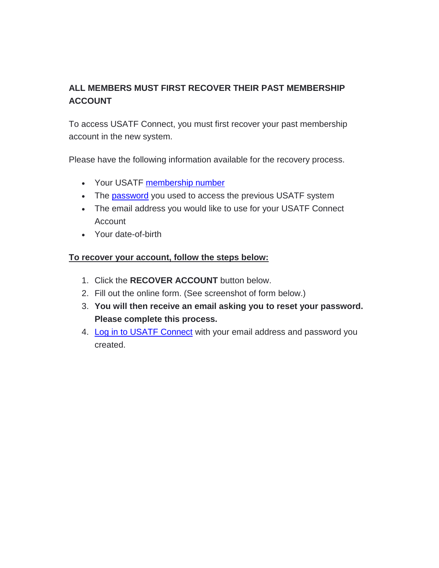# **ALL MEMBERS MUST FIRST RECOVER THEIR PAST MEMBERSHIP ACCOUNT**

To access USATF Connect, you must first recover your past membership account in the new system.

Please have the following information available for the recovery process.

- Your USATF [membership number](https://legacy.usatf.org/membership/help/number.asp)
- The [password](https://legacy.usatf.org/membership/help/password.asp) you used to access the previous USATF system
- The email address you would like to use for your USATF Connect Account
- Your date-of-birth

#### **To recover your account, follow the steps below:**

- 1. Click the **RECOVER ACCOUNT** button below.
- 2. Fill out the online form. (See screenshot of form below.)
- 3. **You will then receive an email asking you to reset your password. Please complete this process.**
- 4. [Log in to USATF Connect](https://auth.sport80.com/saml/login?SAMLRequest=hZFNb8IwDEDv%2FIood9o0QMuiUsTGYUhMQ7TbYZfJTQNEahMWp2g%2Ff%2BVLQ5rEbpZl%2Bz3b6fS7qclBOdTWTGgUMDrNeums9TuzVl%2BtQk%2B6CoMT2jojLKBGYaBRKLwU%2BexlKXjAxN5Zb6WtKVnMJ%2FSzLAdJsokgeYjKEa%2FGchBVUQUbGauyVMOYDVksRypOOCXvV3Y3p2tHbNXCoAfjuxTjUZ%2FxPhsWnItRLBj7oGTeSWkD%2FtS1836PIgyhMw5wb50fs0DaJkRo6rC2W20oWV30HrWptNne36U8F6F4LopVf%2FWaF5TMEJU7Ap%2BswbZRLlfuoKV6Wy9%2FFVoEv%2FnrABJplh5DcdrOnQ8qjpn7JnCl0uwfRqM8VOAhDW84WRre%2FjHr%2FQA%3D&SigAlg=http%3A%2F%2Fwww.w3.org%2F2001%2F04%2Fxmldsig-more%23rsa-sha512&Signature=UQ8ePqvoo%2BiRe0u5wVeeJml2a2DIkgjmt6z44IjHwYVmxOHJORy9WNykWxj3Ppyk%2Bm%2BGSRGZocdhoDYp27xlVykISgs1bUveNagYCyMPSJNVMtvqOO7t4HPLUQccSJqtRKOcGLaa%2FF%2FbFjnDj%2F5LvZbZoHCoimvchMqkLgylx%2B7PA8%2FgRTItmh7Gpjigu1H2cybivKfWy6iW6%2BF4CjsNoVsBaa4YL26rFgrVUrGxH7cGDxrtxUlh91argS9PxpQvfYFJmuO0g%2FaCd75JF5xtZ%2FH%2B4O2shD88BvlN91vWEaMqkkcY9gWoEyaggDyKU3QqQshHkzWQRD0h8Vj1QE7Maw%3D%3D) with your email address and password you created.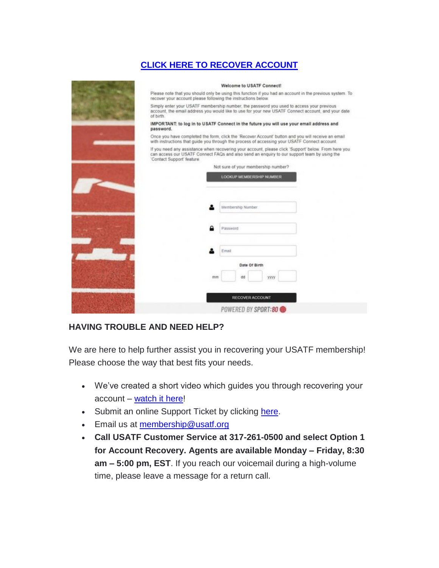## **[CLICK HERE TO RECOVER ACCOUNT](https://usatf.sport80.com/account_access)**

| Welcome to USATF Connect!                                                                                                                                                                                                         |
|-----------------------------------------------------------------------------------------------------------------------------------------------------------------------------------------------------------------------------------|
| Please note that you should only be using this function if you had an account in the previous system. To<br>recover your account please following the instructions below.                                                         |
| Simply enter your USATF membership number, the password you used to access your previous<br>account, the email address you would like to use for your new USATF Connect account, and your date<br>of birth                        |
| IMPORTANT: to log in to USATF Connect in the future you will use your email address and<br>password.                                                                                                                              |
| Once you have completed the form, click the 'Recover Account' button and you will receive an email<br>with instructions that guide you through the process of accessing your USATF Connect account.                               |
| If you need any assistance when recovering your account, please click 'Support' below. From here you<br>can access our USATF Connect FAQs and also send an enguiry to our support team by using the<br>'Contact Support' feature. |
| Not sure of your membership number?                                                                                                                                                                                               |
| LOOKUP MEMBERSHIP NUMBER                                                                                                                                                                                                          |
|                                                                                                                                                                                                                                   |
|                                                                                                                                                                                                                                   |
| Membership Number                                                                                                                                                                                                                 |
|                                                                                                                                                                                                                                   |
| Password                                                                                                                                                                                                                          |
|                                                                                                                                                                                                                                   |
| Email                                                                                                                                                                                                                             |
| Date Of Birth                                                                                                                                                                                                                     |
| dd<br>mm<br><b>YYYY</b>                                                                                                                                                                                                           |
|                                                                                                                                                                                                                                   |
| <b>RECOVER ACCOUNT</b>                                                                                                                                                                                                            |
| POWERED BY SPORT:80 ●                                                                                                                                                                                                             |
|                                                                                                                                                                                                                                   |

#### **HAVING TROUBLE AND NEED HELP?**

We are here to help further assist you in recovering your USATF membership! Please choose the way that best fits your needs.

- We've created a short video which guides you through recovering your account – [watch it here!](https://vimeopro.com/user44435707/usatf-connect-member-tutorials/video/407603944)
- Submit an online Support Ticket by clicking [here.](https://www.usatf.org/contact-us)
- **Email us at membership@usatf.org**
- **Call USATF Customer Service at 317-261-0500 and select Option 1 for Account Recovery. Agents are available Monday – Friday, 8:30 am – 5:00 pm, EST**. If you reach our voicemail during a high-volume time, please leave a message for a return call.